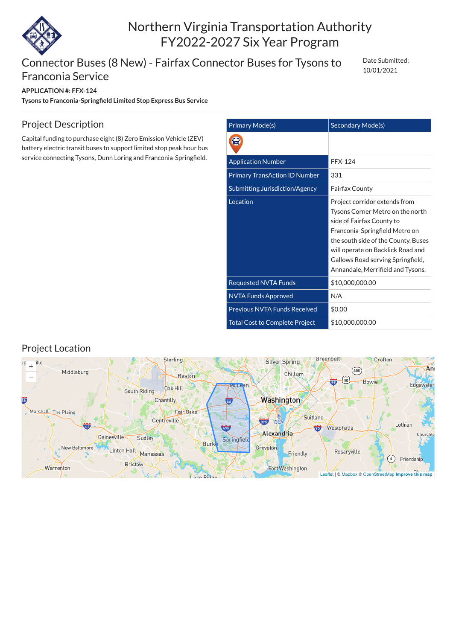

# Northern Virginia Transportation Authority FY2022-2027 Six Year Program

### Connector Buses (8 New) - Fairfax Connector Buses for Tysons to Franconia Service

#### **APPLICATION #: FFX-124**

**Tysons to Franconia-Springfield Limited Stop Express Bus Service**

Date Submitted: 10/01/2021

| <b>Primary Mode(s)</b>                | Secondary Mode(s)                                                                                                                                                                                                                                                                      |
|---------------------------------------|----------------------------------------------------------------------------------------------------------------------------------------------------------------------------------------------------------------------------------------------------------------------------------------|
|                                       |                                                                                                                                                                                                                                                                                        |
| <b>Application Number</b>             | <b>FFX-124</b>                                                                                                                                                                                                                                                                         |
| <b>Primary TransAction ID Number</b>  | 331                                                                                                                                                                                                                                                                                    |
| <b>Submitting Jurisdiction/Agency</b> | <b>Fairfax County</b>                                                                                                                                                                                                                                                                  |
| Location                              | Project corridor extends from<br>Tysons Corner Metro on the north<br>side of Fairfax County to<br>Franconia-Springfield Metro on<br>the south side of the County. Buses<br>will operate on Backlick Road and<br>Gallows Road serving Springfield,<br>Annandale, Merrifield and Tysons. |
| <b>Requested NVTA Funds</b>           | \$10,000,000.00                                                                                                                                                                                                                                                                        |
| <b>NVTA Funds Approved</b>            | N/A                                                                                                                                                                                                                                                                                    |
| <b>Previous NVTA Funds Received</b>   | \$0.00                                                                                                                                                                                                                                                                                 |
| <b>Total Cost to Complete Project</b> | \$10,000,000.00                                                                                                                                                                                                                                                                        |

### Project Description

Capital funding to purchase eight (8) Zero Emission Vehicle (ZEV) battery electric transit buses to support limited stop peak hour bus service connecting Tysons, Dunn Loring and Franconia-Springfield.

#### Project Location